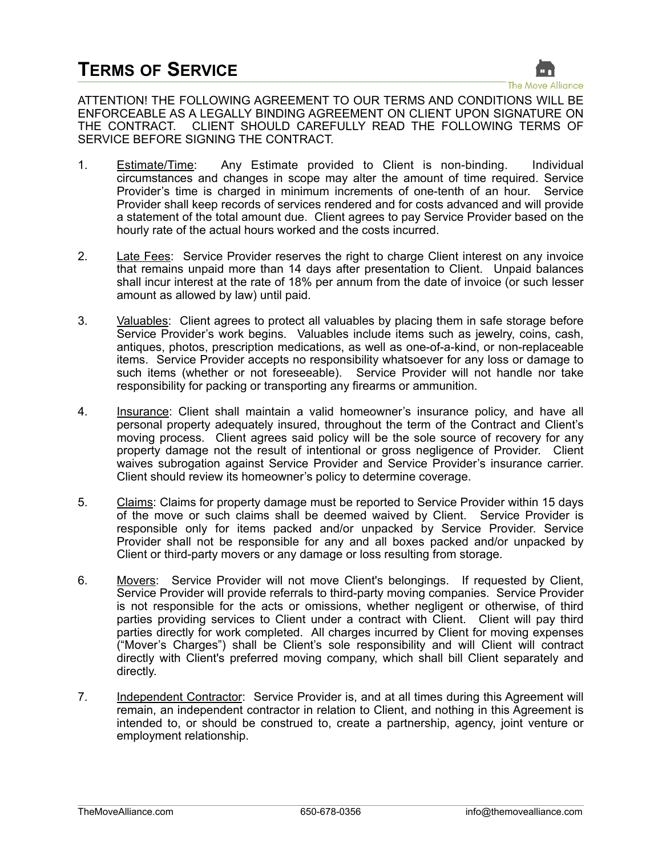

ATTENTION! THE FOLLOWING AGREEMENT TO OUR TERMS AND CONDITIONS WILL BE ENFORCEABLE AS A LEGALLY BINDING AGREEMENT ON CLIENT UPON SIGNATURE ON THE CONTRACT. CLIENT SHOULD CAREFULLY READ THE FOLLOWING TERMS OF SERVICE BEFORE SIGNING THE CONTRACT.

- 1. Estimate/Time: Any Estimate provided to Client is non-binding. Individual circumstances and changes in scope may alter the amount of time required. Service Provider's time is charged in minimum increments of one-tenth of an hour. Service Provider shall keep records of services rendered and for costs advanced and will provide a statement of the total amount due. Client agrees to pay Service Provider based on the hourly rate of the actual hours worked and the costs incurred.
- 2. Late Fees: Service Provider reserves the right to charge Client interest on any invoice that remains unpaid more than 14 days after presentation to Client. Unpaid balances shall incur interest at the rate of 18% per annum from the date of invoice (or such lesser amount as allowed by law) until paid.
- 3. Valuables: Client agrees to protect all valuables by placing them in safe storage before Service Provider's work begins. Valuables include items such as jewelry, coins, cash, antiques, photos, prescription medications, as well as one-of-a-kind, or non-replaceable items. Service Provider accepts no responsibility whatsoever for any loss or damage to such items (whether or not foreseeable). Service Provider will not handle nor take responsibility for packing or transporting any firearms or ammunition.
- 4. Insurance: Client shall maintain a valid homeowner's insurance policy, and have all personal property adequately insured, throughout the term of the Contract and Client's moving process. Client agrees said policy will be the sole source of recovery for any property damage not the result of intentional or gross negligence of Provider. Client waives subrogation against Service Provider and Service Provider's insurance carrier. Client should review its homeowner's policy to determine coverage.
- 5. Claims: Claims for property damage must be reported to Service Provider within 15 days of the move or such claims shall be deemed waived by Client. Service Provider is responsible only for items packed and/or unpacked by Service Provider. Service Provider shall not be responsible for any and all boxes packed and/or unpacked by Client or third-party movers or any damage or loss resulting from storage.
- 6. Movers: Service Provider will not move Client's belongings. If requested by Client, Service Provider will provide referrals to third-party moving companies. Service Provider is not responsible for the acts or omissions, whether negligent or otherwise, of third parties providing services to Client under a contract with Client. Client will pay third parties directly for work completed. All charges incurred by Client for moving expenses ("Mover's Charges") shall be Client's sole responsibility and will Client will contract directly with Client's preferred moving company, which shall bill Client separately and directly.
- 7. Independent Contractor: Service Provider is, and at all times during this Agreement will remain, an independent contractor in relation to Client, and nothing in this Agreement is intended to, or should be construed to, create a partnership, agency, joint venture or employment relationship.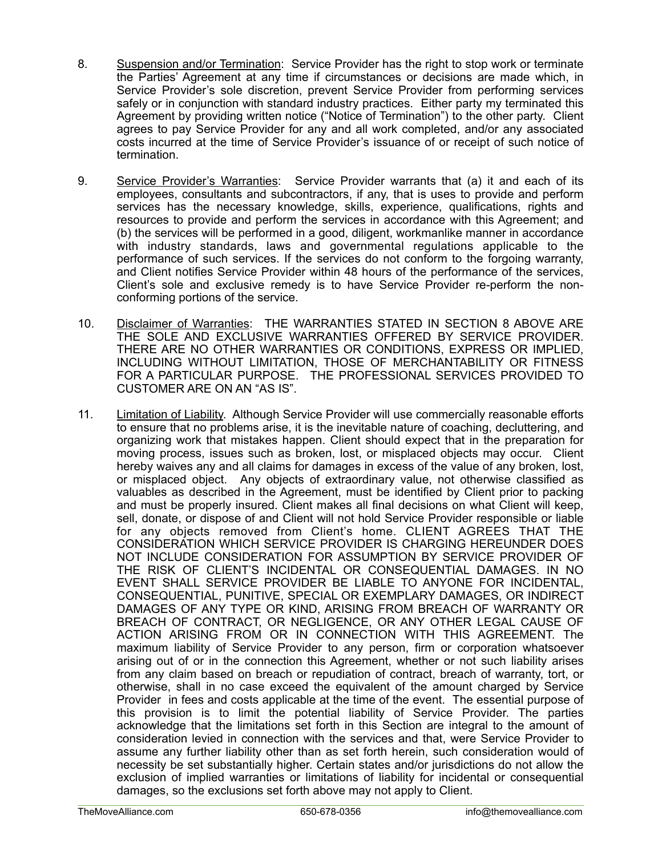- 8. Suspension and/or Termination: Service Provider has the right to stop work or terminate the Parties' Agreement at any time if circumstances or decisions are made which, in Service Provider's sole discretion, prevent Service Provider from performing services safely or in conjunction with standard industry practices. Either party my terminated this Agreement by providing written notice ("Notice of Termination") to the other party. Client agrees to pay Service Provider for any and all work completed, and/or any associated costs incurred at the time of Service Provider's issuance of or receipt of such notice of termination.
- 9. Service Provider's Warranties: Service Provider warrants that (a) it and each of its employees, consultants and subcontractors, if any, that is uses to provide and perform services has the necessary knowledge, skills, experience, qualifications, rights and resources to provide and perform the services in accordance with this Agreement; and (b) the services will be performed in a good, diligent, workmanlike manner in accordance with industry standards, laws and governmental regulations applicable to the performance of such services. If the services do not conform to the forgoing warranty, and Client notifies Service Provider within 48 hours of the performance of the services, Client's sole and exclusive remedy is to have Service Provider re-perform the nonconforming portions of the service.
- 10. Disclaimer of Warranties: THE WARRANTIES STATED IN SECTION 8 ABOVE ARE THE SOLE AND EXCLUSIVE WARRANTIES OFFERED BY SERVICE PROVIDER. THERE ARE NO OTHER WARRANTIES OR CONDITIONS, EXPRESS OR IMPLIED, INCLUDING WITHOUT LIMITATION, THOSE OF MERCHANTABILITY OR FITNESS FOR A PARTICULAR PURPOSE. THE PROFESSIONAL SERVICES PROVIDED TO CUSTOMER ARE ON AN "AS IS".
- 11. Limitation of Liability. Although Service Provider will use commercially reasonable efforts to ensure that no problems arise, it is the inevitable nature of coaching, decluttering, and organizing work that mistakes happen. Client should expect that in the preparation for moving process, issues such as broken, lost, or misplaced objects may occur. Client hereby waives any and all claims for damages in excess of the value of any broken, lost, or misplaced object. Any objects of extraordinary value, not otherwise classified as valuables as described in the Agreement, must be identified by Client prior to packing and must be properly insured. Client makes all final decisions on what Client will keep, sell, donate, or dispose of and Client will not hold Service Provider responsible or liable for any objects removed from Client's home. CLIENT AGREES THAT THE CONSIDERATION WHICH SERVICE PROVIDER IS CHARGING HEREUNDER DOES NOT INCLUDE CONSIDERATION FOR ASSUMPTION BY SERVICE PROVIDER OF THE RISK OF CLIENT'S INCIDENTAL OR CONSEQUENTIAL DAMAGES. IN NO EVENT SHALL SERVICE PROVIDER BE LIABLE TO ANYONE FOR INCIDENTAL, CONSEQUENTIAL, PUNITIVE, SPECIAL OR EXEMPLARY DAMAGES, OR INDIRECT DAMAGES OF ANY TYPE OR KIND, ARISING FROM BREACH OF WARRANTY OR BREACH OF CONTRACT, OR NEGLIGENCE, OR ANY OTHER LEGAL CAUSE OF ACTION ARISING FROM OR IN CONNECTION WITH THIS AGREEMENT. The maximum liability of Service Provider to any person, firm or corporation whatsoever arising out of or in the connection this Agreement, whether or not such liability arises from any claim based on breach or repudiation of contract, breach of warranty, tort, or otherwise, shall in no case exceed the equivalent of the amount charged by Service Provider in fees and costs applicable at the time of the event. The essential purpose of this provision is to limit the potential liability of Service Provider. The parties acknowledge that the limitations set forth in this Section are integral to the amount of consideration levied in connection with the services and that, were Service Provider to assume any further liability other than as set forth herein, such consideration would of necessity be set substantially higher. Certain states and/or jurisdictions do not allow the exclusion of implied warranties or limitations of liability for incidental or consequential damages, so the exclusions set forth above may not apply to Client.